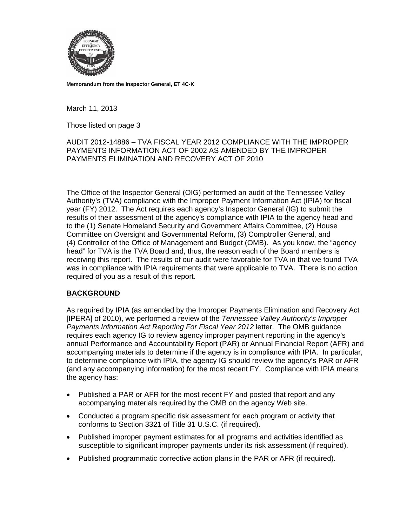

**Memorandum from the Inspector General, ET 4C-K** 

March 11, 2013

Those listed on page 3

## AUDIT 2012-14886 – TVA FISCAL YEAR 2012 COMPLIANCE WITH THE IMPROPER PAYMENTS INFORMATION ACT OF 2002 AS AMENDED BY THE IMPROPER PAYMENTS ELIMINATION AND RECOVERY ACT OF 2010

The Office of the Inspector General (OIG) performed an audit of the Tennessee Valley Authority's (TVA) compliance with the Improper Payment Information Act (IPIA) for fiscal year (FY) 2012. The Act requires each agency's Inspector General (IG) to submit the results of their assessment of the agency's compliance with IPIA to the agency head and to the (1) Senate Homeland Security and Government Affairs Committee, (2) House Committee on Oversight and Governmental Reform, (3) Comptroller General, and (4) Controller of the Office of Management and Budget (OMB). As you know, the "agency head" for TVA is the TVA Board and, thus, the reason each of the Board members is receiving this report. The results of our audit were favorable for TVA in that we found TVA was in compliance with IPIA requirements that were applicable to TVA. There is no action required of you as a result of this report.

## **BACKGROUND**

As required by IPIA (as amended by the Improper Payments Elimination and Recovery Act [IPERA] of 2010), we performed a review of the *Tennessee Valley Authority's Improper Payments Information Act Reporting For Fiscal Year 2012* letter. The OMB guidance requires each agency IG to review agency improper payment reporting in the agency's annual Performance and Accountability Report (PAR) or Annual Financial Report (AFR) and accompanying materials to determine if the agency is in compliance with IPIA. In particular, to determine compliance with IPIA, the agency IG should review the agency's PAR or AFR (and any accompanying information) for the most recent FY. Compliance with IPIA means the agency has:

- Published a PAR or AFR for the most recent FY and posted that report and any accompanying materials required by the OMB on the agency Web site.
- Conducted a program specific risk assessment for each program or activity that conforms to Section 3321 of Title 31 U.S.C. (if required).
- Published improper payment estimates for all programs and activities identified as susceptible to significant improper payments under its risk assessment (if required).
- Published programmatic corrective action plans in the PAR or AFR (if required).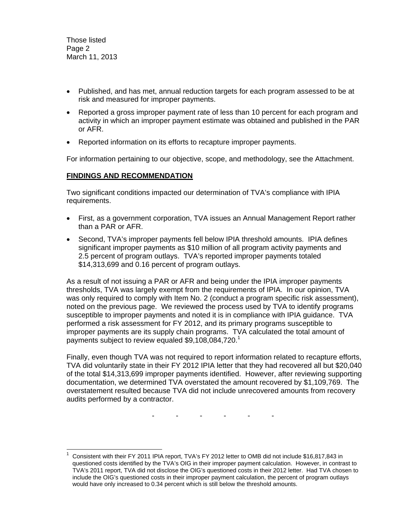Those listed Page 2 March 11, 2013

1

- Published, and has met, annual reduction targets for each program assessed to be at risk and measured for improper payments.
- Reported a gross improper payment rate of less than 10 percent for each program and activity in which an improper payment estimate was obtained and published in the PAR or AFR.
- Reported information on its efforts to recapture improper payments.

For information pertaining to our objective, scope, and methodology, see the Attachment.

## **FINDINGS AND RECOMMENDATION**

Two significant conditions impacted our determination of TVA's compliance with IPIA requirements.

- First, as a government corporation, TVA issues an Annual Management Report rather than a PAR or AFR.
- Second, TVA's improper payments fell below IPIA threshold amounts. IPIA defines significant improper payments as \$10 million of all program activity payments and 2.5 percent of program outlays. TVA's reported improper payments totaled \$14,313,699 and 0.16 percent of program outlays.

As a result of not issuing a PAR or AFR and being under the IPIA improper payments thresholds, TVA was largely exempt from the requirements of IPIA. In our opinion, TVA was only required to comply with Item No. 2 (conduct a program specific risk assessment), noted on the previous page. We reviewed the process used by TVA to identify programs susceptible to improper payments and noted it is in compliance with IPIA guidance. TVA performed a risk assessment for FY 2012, and its primary programs susceptible to improper payments are its supply chain programs. TVA calculated the total amount of payments subject to review equaled  $$9,108,084,720.<sup>1</sup>$ 

Finally, even though TVA was not required to report information related to recapture efforts, TVA did voluntarily state in their FY 2012 IPIA letter that they had recovered all but \$20,040 of the total \$14,313,699 improper payments identified. However, after reviewing supporting documentation, we determined TVA overstated the amount recovered by \$1,109,769. The overstatement resulted because TVA did not include unrecovered amounts from recovery audits performed by a contractor.

- - - - - -

<sup>1</sup> Consistent with their FY 2011 IPIA report, TVA's FY 2012 letter to OMB did not include \$16,817,843 in questioned costs identified by the TVA's OIG in their improper payment calculation. However, in contrast to TVA's 2011 report, TVA did not disclose the OIG's questioned costs in their 2012 letter. Had TVA chosen to include the OIG's questioned costs in their improper payment calculation, the percent of program outlays would have only increased to 0.34 percent which is still below the threshold amounts.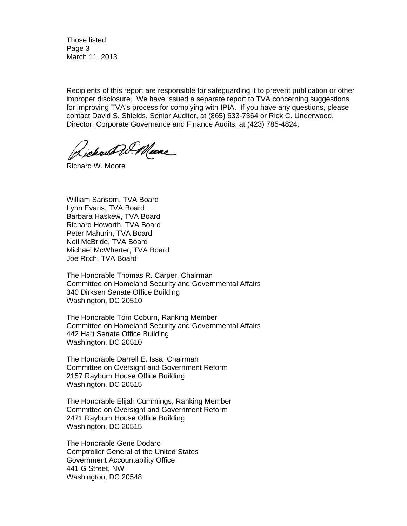Those listed Page 3 March 11, 2013

Recipients of this report are responsible for safeguarding it to prevent publication or other improper disclosure. We have issued a separate report to TVA concerning suggestions for improving TVA's process for complying with IPIA. If you have any questions, please contact David S. Shields, Senior Auditor, at (865) 633-7364 or Rick C. Underwood, Director, Corporate Governance and Finance Audits, at (423) 785-4824.

Lichaus W. Mare

Richard W. Moore

William Sansom, TVA Board Lynn Evans, TVA Board Barbara Haskew, TVA Board Richard Howorth, TVA Board Peter Mahurin, TVA Board Neil McBride, TVA Board Michael McWherter, TVA Board Joe Ritch, TVA Board

The Honorable Thomas R. Carper, Chairman Committee on Homeland Security and Governmental Affairs 340 Dirksen Senate Office Building Washington, DC 20510

The Honorable Tom Coburn, Ranking Member Committee on Homeland Security and Governmental Affairs 442 Hart Senate Office Building Washington, DC 20510

The Honorable Darrell E. Issa, Chairman Committee on Oversight and Government Reform 2157 Rayburn House Office Building Washington, DC 20515

The Honorable Elijah Cummings, Ranking Member Committee on Oversight and Government Reform 2471 Rayburn House Office Building Washington, DC 20515

The Honorable Gene Dodaro Comptroller General of the United States Government Accountability Office 441 G Street, NW Washington, DC 20548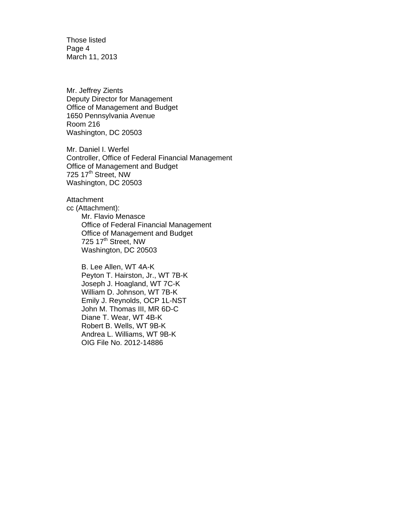Those listed Page 4 March 11, 2013

Mr. Jeffrey Zients Deputy Director for Management Office of Management and Budget 1650 Pennsylvania Avenue Room 216 Washington, DC 20503

Mr. Daniel I. Werfel Controller, Office of Federal Financial Management Office of Management and Budget 725 17<sup>th</sup> Street, NW Washington, DC 20503

**Attachment** cc (Attachment):

> Mr. Flavio Menasce Office of Federal Financial Management Office of Management and Budget 725 17<sup>th</sup> Street, NW Washington, DC 20503

 B. Lee Allen, WT 4A-K Peyton T. Hairston, Jr., WT 7B-K Joseph J. Hoagland, WT 7C-K William D. Johnson, WT 7B-K Emily J. Reynolds, OCP 1L-NST John M. Thomas III, MR 6D-C Diane T. Wear, WT 4B-K Robert B. Wells, WT 9B-K Andrea L. Williams, WT 9B-K OIG File No. 2012-14886